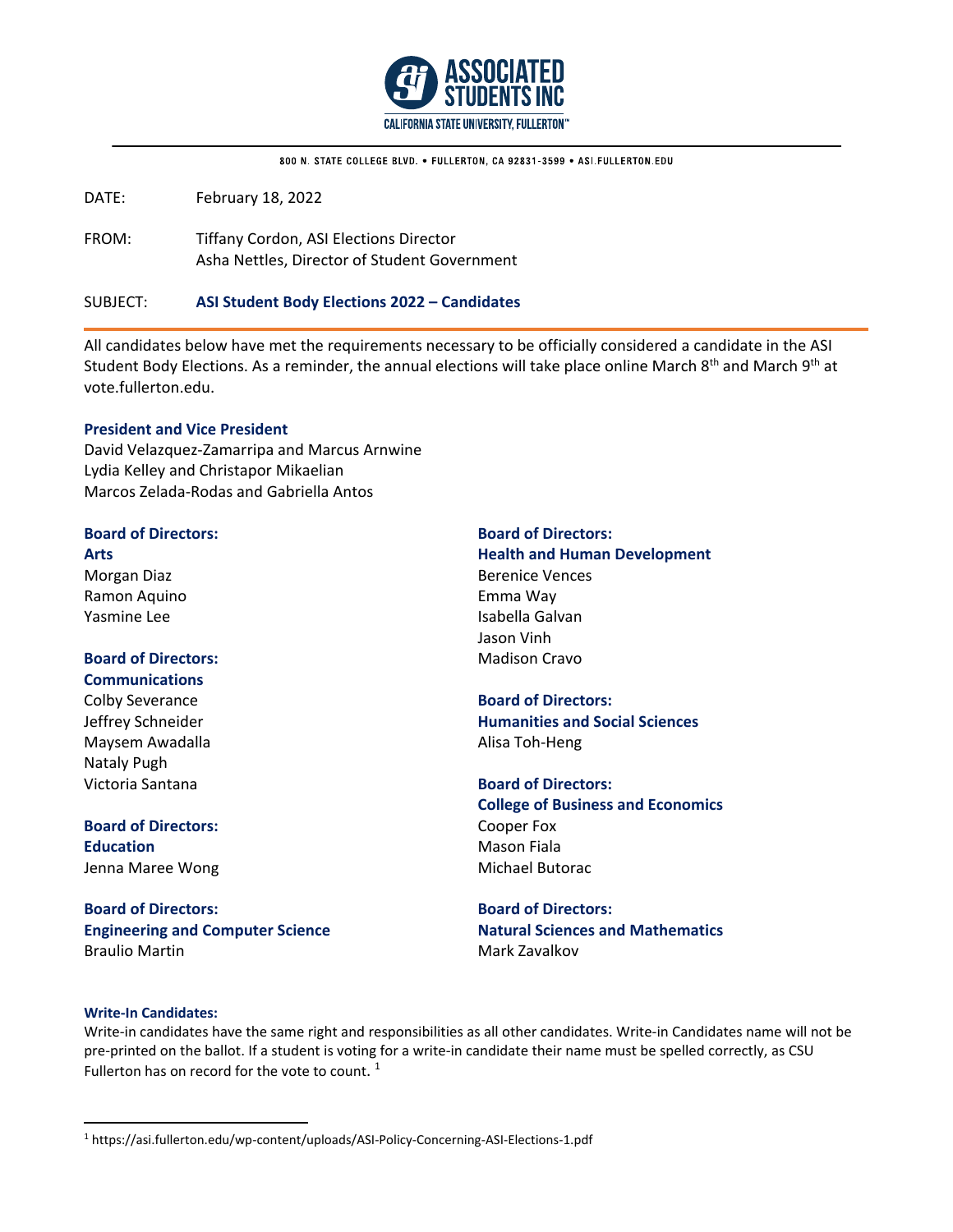

800 N. STATE COLLEGE BLVD. . FULLERTON, CA 92831-3599 . ASI FULLERTON EDU

DATE: February 18, 2022

FROM: Tiffany Cordon, ASI Elections Director Asha Nettles, Director of Student Government

SUBJECT: **ASI Student Body Elections 2022 – Candidates**

All candidates below have met the requirements necessary to be officially considered a candidate in the ASI Student Body Elections. As a reminder, the annual elections will take place online March 8<sup>th</sup> and March 9<sup>th</sup> at vote.fullerton.edu.

### **President and Vice President**

David Velazquez‐Zamarripa and Marcus Arnwine Lydia Kelley and Christapor Mikaelian Marcos Zelada‐Rodas and Gabriella Antos

# **Board of Directors:**

**Arts**  Morgan Diaz Ramon Aquino Yasmine Lee

### **Board of Directors: Communications**

Colby Severance Jeffrey Schneider Maysem Awadalla Nataly Pugh Victoria Santana

# **Board of Directors: Education**  Jenna Maree Wong

**Board of Directors: Engineering and Computer Science**  Braulio Martin

# **Board of Directors:**

**Health and Human Development**  Berenice Vences Emma Way Isabella Galvan Jason Vinh Madison Cravo

# **Board of Directors: Humanities and Social Sciences**  Alisa Toh‐Heng

**Board of Directors: College of Business and Economics** Cooper Fox Mason Fiala Michael Butorac

**Board of Directors: Natural Sciences and Mathematics** Mark Zavalkov

### **Write‐In Candidates:**

Write-in candidates have the same right and responsibilities as all other candidates. Write-in Candidates name will not be pre-printed on the ballot. If a student is voting for a write-in candidate their name must be spelled correctly, as CSU Fullerton has on record for the vote to count.<sup>1</sup>

<sup>1</sup> https://asi.fullerton.edu/wp‐content/uploads/ASI‐Policy‐Concerning‐ASI‐Elections‐1.pdf